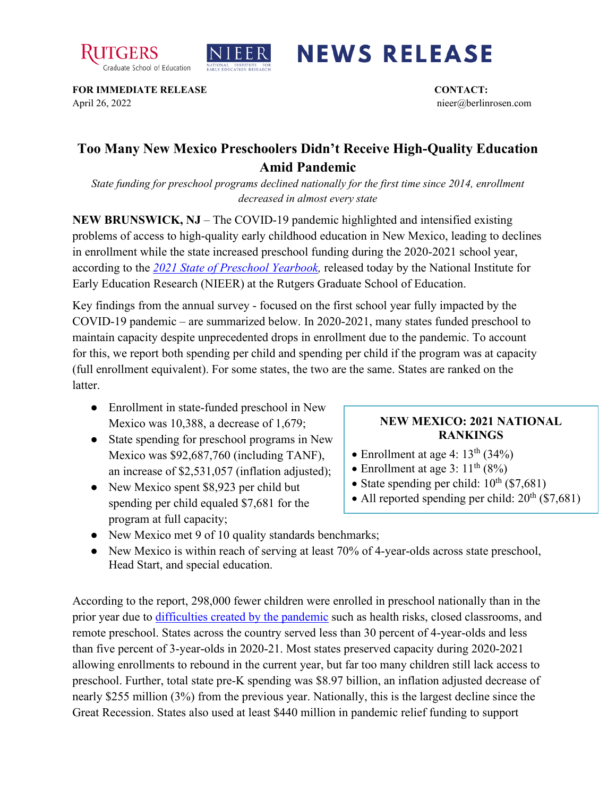



## **NEWS RELEASE**

**FOR IMMEDIATE RELEASE CONTACT:**  April 26, 2022 nieer@berlinrosen.com

## **Too Many New Mexico Preschoolers Didn't Receive High-Quality Education Amid Pandemic**

*State funding for preschool programs declined nationally for the first time since 2014, enrollment decreased in almost every state*

**NEW BRUNSWICK, NJ** – The COVID-19 pandemic highlighted and intensified existing problems of access to high-quality early childhood education in New Mexico, leading to declines in enrollment while the state increased preschool funding during the 2020-2021 school year, according to the *[2021 State of Preschool Yearbook,](https://nieer.org/state-preschool-yearbooks-yearbook2021)* released today by the National Institute for Early Education Research (NIEER) at the Rutgers Graduate School of Education.

Key findings from the annual survey - focused on the first school year fully impacted by the COVID-19 pandemic – are summarized below. In 2020-2021, many states funded preschool to maintain capacity despite unprecedented drops in enrollment due to the pandemic. To account for this, we report both spending per child and spending per child if the program was at capacity (full enrollment equivalent). For some states, the two are the same. States are ranked on the **latter** 

- Enrollment in state-funded preschool in New Mexico was 10,388, a decrease of 1,679;
- State spending for preschool programs in New Mexico was \$92,687,760 (including TANF), an increase of \$2,531,057 (inflation adjusted);
- New Mexico spent \$8,923 per child but spending per child equaled \$7,681 for the program at full capacity;

## **NEW MEXICO: 2021 NATIONAL RANKINGS**

- Enrollment at age 4:  $13<sup>th</sup>$  (34%)
- Enrollment at age 3:  $11<sup>th</sup>$  (8%)
- State spending per child:  $10^{th}$  (\$7,681)
- All reported spending per child:  $20^{th}$  (\$7,681)
- New Mexico met 9 of 10 quality standards benchmarks;
- New Mexico is within reach of serving at least 70% of 4-year-olds across state preschool, Head Start, and special education.

According to the report, 298,000 fewer children were enrolled in preschool nationally than in the prior year due to [difficulties created by the pandemic](https://nieer.org/wp-content/uploads/2021/02/NIEER_Seven_Impacts_of_the_Pandemic_on_Young_Children_and_their_Parents.pdf) such as health risks, closed classrooms, and remote preschool. States across the country served less than 30 percent of 4-year-olds and less than five percent of 3-year-olds in 2020-21. Most states preserved capacity during 2020-2021 allowing enrollments to rebound in the current year, but far too many children still lack access to preschool. Further, total state pre-K spending was \$8.97 billion, an inflation adjusted decrease of nearly \$255 million (3%) from the previous year. Nationally, this is the largest decline since the Great Recession. States also used at least \$440 million in pandemic relief funding to support